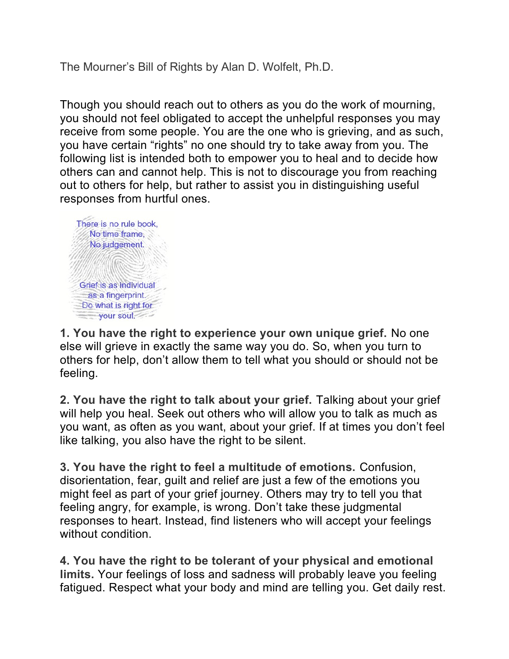The Mourner's Bill of Rights by Alan D. Wolfelt, Ph.D.

Though you should reach out to others as you do the work of mourning, you should not feel obligated to accept the unhelpful responses you may receive from some people. You are the one who is grieving, and as such, you have certain "rights" no one should try to take away from you. The following list is intended both to empower you to heal and to decide how others can and cannot help. This is not to discourage you from reaching out to others for help, but rather to assist you in distinguishing useful responses from hurtful ones.



**1. You have the right to experience your own unique grief.** No one else will grieve in exactly the same way you do. So, when you turn to others for help, don't allow them to tell what you should or should not be feeling.

**2. You have the right to talk about your grief.** Talking about your grief will help you heal. Seek out others who will allow you to talk as much as you want, as often as you want, about your grief. If at times you don't feel like talking, you also have the right to be silent.

**3. You have the right to feel a multitude of emotions.** Confusion, disorientation, fear, guilt and relief are just a few of the emotions you might feel as part of your grief journey. Others may try to tell you that feeling angry, for example, is wrong. Don't take these judgmental responses to heart. Instead, find listeners who will accept your feelings without condition.

**4. You have the right to be tolerant of your physical and emotional limits.** Your feelings of loss and sadness will probably leave you feeling fatigued. Respect what your body and mind are telling you. Get daily rest.